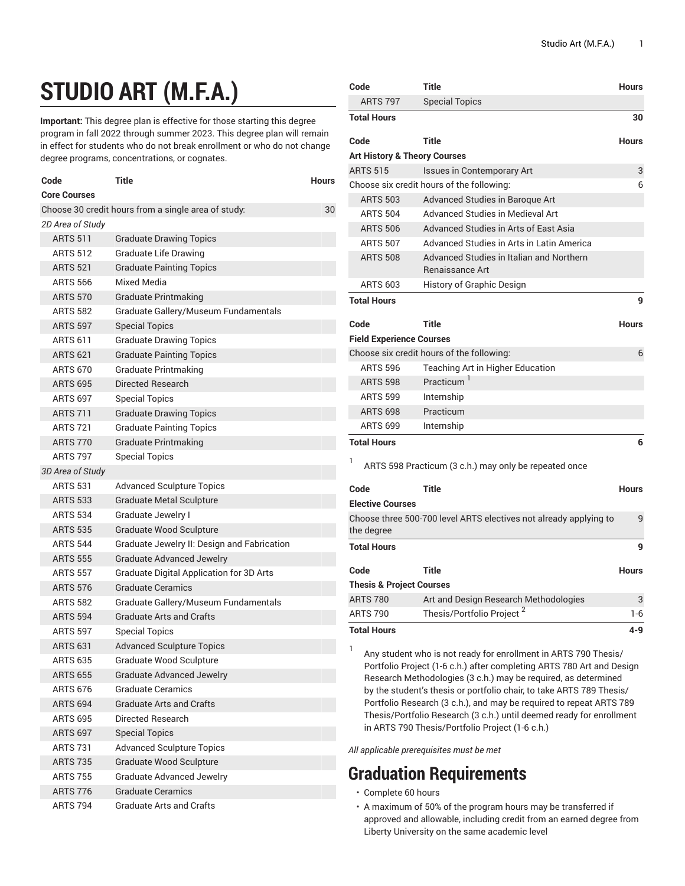## **STUDIO ART (M.F.A.)**

**Important:** This degree plan is effective for those starting this degree program in fall 2022 through summer 2023. This degree plan will remain in effect for students who do not break enrollment or who do not change degree programs, concentrations, or cognates.

| Code                                                      | Title                                           | Hours |  |
|-----------------------------------------------------------|-------------------------------------------------|-------|--|
| <b>Core Courses</b>                                       |                                                 |       |  |
| Choose 30 credit hours from a single area of study:<br>30 |                                                 |       |  |
| 2D Area of Study                                          |                                                 |       |  |
| <b>ARTS 511</b>                                           | <b>Graduate Drawing Topics</b>                  |       |  |
| <b>ARTS 512</b>                                           | <b>Graduate Life Drawing</b>                    |       |  |
| <b>ARTS 521</b>                                           | <b>Graduate Painting Topics</b>                 |       |  |
| <b>ARTS 566</b>                                           | Mixed Media                                     |       |  |
| <b>ARTS 570</b>                                           | <b>Graduate Printmaking</b>                     |       |  |
| <b>ARTS 582</b>                                           | Graduate Gallery/Museum Fundamentals            |       |  |
| <b>ARTS 597</b>                                           | <b>Special Topics</b>                           |       |  |
| <b>ARTS 611</b>                                           | <b>Graduate Drawing Topics</b>                  |       |  |
| <b>ARTS 621</b>                                           | <b>Graduate Painting Topics</b>                 |       |  |
| <b>ARTS 670</b>                                           | Graduate Printmaking                            |       |  |
| <b>ARTS 695</b>                                           | Directed Research                               |       |  |
| <b>ARTS 697</b>                                           | <b>Special Topics</b>                           |       |  |
| <b>ARTS 711</b>                                           | <b>Graduate Drawing Topics</b>                  |       |  |
| <b>ARTS 721</b>                                           | <b>Graduate Painting Topics</b>                 |       |  |
| <b>ARTS 770</b>                                           | <b>Graduate Printmaking</b>                     |       |  |
| <b>ARTS 797</b>                                           | <b>Special Topics</b>                           |       |  |
| 3D Area of Study                                          |                                                 |       |  |
| <b>ARTS 531</b>                                           | <b>Advanced Sculpture Topics</b>                |       |  |
| <b>ARTS 533</b>                                           | <b>Graduate Metal Sculpture</b>                 |       |  |
| <b>ARTS 534</b>                                           | <b>Graduate Jewelry I</b>                       |       |  |
| <b>ARTS 535</b>                                           | Graduate Wood Sculpture                         |       |  |
| <b>ARTS 544</b>                                           | Graduate Jewelry II: Design and Fabrication     |       |  |
| <b>ARTS 555</b>                                           | <b>Graduate Advanced Jewelry</b>                |       |  |
| <b>ARTS 557</b>                                           | <b>Graduate Digital Application for 3D Arts</b> |       |  |
| <b>ARTS 576</b>                                           | Graduate Ceramics                               |       |  |
| <b>ARTS 582</b>                                           | Graduate Gallery/Museum Fundamentals            |       |  |
| <b>ARTS 594</b>                                           | <b>Graduate Arts and Crafts</b>                 |       |  |
| <b>ARTS 597</b>                                           | <b>Special Topics</b>                           |       |  |
| <b>ARTS 631</b>                                           | <b>Advanced Sculpture Topics</b>                |       |  |
| <b>ARTS 635</b>                                           | Graduate Wood Sculpture                         |       |  |
| <b>ARTS 655</b>                                           | <b>Graduate Advanced Jewelry</b>                |       |  |
| <b>ARTS 676</b>                                           | Graduate Ceramics                               |       |  |
| <b>ARTS 694</b>                                           | <b>Graduate Arts and Crafts</b>                 |       |  |
| <b>ARTS 695</b>                                           | Directed Research                               |       |  |
| <b>ARTS 697</b>                                           | <b>Special Topics</b>                           |       |  |
| <b>ARTS 731</b>                                           | <b>Advanced Sculpture Topics</b>                |       |  |
| <b>ARTS 735</b>                                           | <b>Graduate Wood Sculpture</b>                  |       |  |
| <b>ARTS 755</b>                                           | <b>Graduate Advanced Jewelry</b>                |       |  |
| <b>ARTS 776</b>                                           | <b>Graduate Ceramics</b>                        |       |  |
| <b>ARTS 794</b>                                           | <b>Graduate Arts and Crafts</b>                 |       |  |

| Code                                    | Title                                                                                                                                                                                                                                                                                    | <b>Hours</b> |
|-----------------------------------------|------------------------------------------------------------------------------------------------------------------------------------------------------------------------------------------------------------------------------------------------------------------------------------------|--------------|
| <b>ARTS 797</b>                         | <b>Special Topics</b>                                                                                                                                                                                                                                                                    |              |
| <b>Total Hours</b>                      |                                                                                                                                                                                                                                                                                          | 30           |
| Code                                    | <b>Title</b>                                                                                                                                                                                                                                                                             | <b>Hours</b> |
| <b>Art History &amp; Theory Courses</b> |                                                                                                                                                                                                                                                                                          |              |
| <b>ARTS 515</b>                         | <b>Issues in Contemporary Art</b>                                                                                                                                                                                                                                                        | 3            |
|                                         | Choose six credit hours of the following:                                                                                                                                                                                                                                                | 6            |
| <b>ARTS 503</b>                         | Advanced Studies in Baroque Art                                                                                                                                                                                                                                                          |              |
| <b>ARTS 504</b>                         | <b>Advanced Studies in Medieval Art</b>                                                                                                                                                                                                                                                  |              |
| <b>ARTS 506</b>                         | Advanced Studies in Arts of Fast Asia                                                                                                                                                                                                                                                    |              |
| <b>ARTS 507</b>                         | Advanced Studies in Arts in Latin America                                                                                                                                                                                                                                                |              |
| <b>ARTS 508</b>                         | Advanced Studies in Italian and Northern<br>Renaissance Art                                                                                                                                                                                                                              |              |
| <b>ARTS 603</b>                         | History of Graphic Design                                                                                                                                                                                                                                                                |              |
| <b>Total Hours</b>                      |                                                                                                                                                                                                                                                                                          | 9            |
|                                         |                                                                                                                                                                                                                                                                                          |              |
| Code                                    | <b>Title</b>                                                                                                                                                                                                                                                                             | <b>Hours</b> |
| <b>Field Experience Courses</b>         |                                                                                                                                                                                                                                                                                          |              |
|                                         | Choose six credit hours of the following:                                                                                                                                                                                                                                                | 6            |
| <b>ARTS 596</b>                         | Teaching Art in Higher Education                                                                                                                                                                                                                                                         |              |
| <b>ARTS 598</b>                         | Practicum <sup>1</sup>                                                                                                                                                                                                                                                                   |              |
| <b>ARTS 599</b>                         | Internship                                                                                                                                                                                                                                                                               |              |
| <b>ARTS 698</b>                         | Practicum                                                                                                                                                                                                                                                                                |              |
| <b>ARTS 699</b>                         | Internship                                                                                                                                                                                                                                                                               |              |
| <b>Total Hours</b>                      |                                                                                                                                                                                                                                                                                          | 6            |
| 1                                       | ARTS 598 Practicum (3 c.h.) may only be repeated once                                                                                                                                                                                                                                    |              |
| Code                                    | Title                                                                                                                                                                                                                                                                                    | <b>Hours</b> |
| <b>Elective Courses</b>                 |                                                                                                                                                                                                                                                                                          |              |
|                                         | Choose three 500-700 level ARTS electives not already applying to                                                                                                                                                                                                                        | 9            |
| the degree                              |                                                                                                                                                                                                                                                                                          |              |
| <b>Total Hours</b>                      |                                                                                                                                                                                                                                                                                          | 9            |
| Code                                    | <b>Title</b>                                                                                                                                                                                                                                                                             | <b>Hours</b> |
| <b>Thesis &amp; Project Courses</b>     |                                                                                                                                                                                                                                                                                          |              |
| <b>ARTS 780</b>                         | Art and Design Research Methodologies                                                                                                                                                                                                                                                    | 3            |
| <b>ARTS 790</b>                         | Thesis/Portfolio Project <sup>2</sup>                                                                                                                                                                                                                                                    | $1-6$        |
| <b>Total Hours</b>                      |                                                                                                                                                                                                                                                                                          | 4-9          |
|                                         |                                                                                                                                                                                                                                                                                          |              |
| 1                                       | $\mathbf{A}$ and a set of the set of the set of the set of the set of the set of the set of the set of the set of the set of the set of the set of the set of the set of the set of the set of the set of the set of the set of t<br>$\mathbf{u} = \mathbf{v}$ $\mathbf{v} = \mathbf{v}$ |              |

Any student who is not ready for enrollment in ARTS 790 Thesis/ Portfolio Project (1-6 c.h.) after completing ARTS 780 Art and Design Research Methodologies (3 c.h.) may be required, as determined by the student's thesis or portfolio chair, to take ARTS 789 Thesis/ Portfolio Research (3 c.h.), and may be required to repeat ARTS 789 Thesis/Portfolio Research (3 c.h.) until deemed ready for enrollment in ARTS 790 Thesis/Portfolio Project (1-6 c.h.)

*All applicable prerequisites must be met*

## **Graduation Requirements**

- Complete 60 hours
- A maximum of 50% of the program hours may be transferred if approved and allowable, including credit from an earned degree from Liberty University on the same academic level